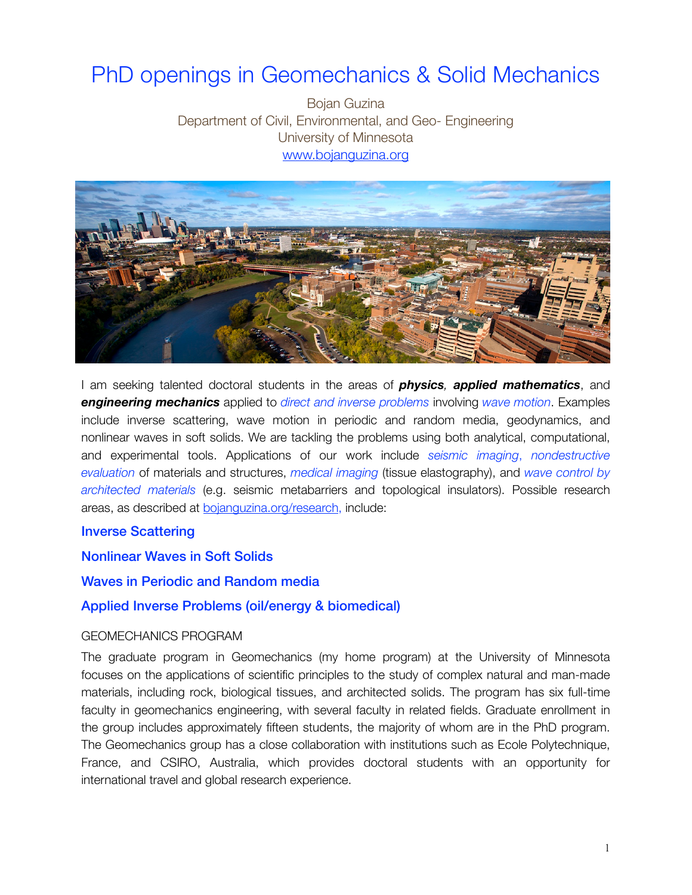# PhD openings in Geomechanics & Solid Mechanics

Bojan Guzina Department of Civil, Environmental, and Geo- Engineering University of Minnesota [www.bojanguzina.org](http://www.bojanguzina.org)



I am seeking talented doctoral students in the areas of *physics, applied mathematics*, and *engineering mechanics* applied to *direct and inverse problems* involving *wave motion*. Examples include inverse scattering, wave motion in periodic and random media, geodynamics, and nonlinear waves in soft solids. We are tackling the problems using both analytical, computational, and experimental tools. Applications of our work include *seismic imaging*, *nondestructive evaluation* of materials and structures, *medical imaging* (tissue elastography), and *wave control by architected materials* (e.g. seismic metabarriers and topological insulators). Possible research areas, as described at [bojanguzina.org/research,](http://bojanguzina.org/research) include:

# Inverse Scattering

### Nonlinear Waves in Soft Solids

# Waves in Periodic and Random media

#### Applied Inverse Problems (oil/energy & biomedical)

#### GEOMECHANICS PROGRAM

The graduate program in Geomechanics (my home program) at the University of Minnesota focuses on the applications of scientific principles to the study of complex natural and man-made materials, including rock, biological tissues, and architected solids. The program has six full-time faculty in geomechanics engineering, with several faculty in related fields. Graduate enrollment in the group includes approximately fifteen students, the majority of whom are in the PhD program. The Geomechanics group has a close collaboration with institutions such as Ecole Polytechnique, France, and CSIRO, Australia, which provides doctoral students with an opportunity for international travel and global research experience.